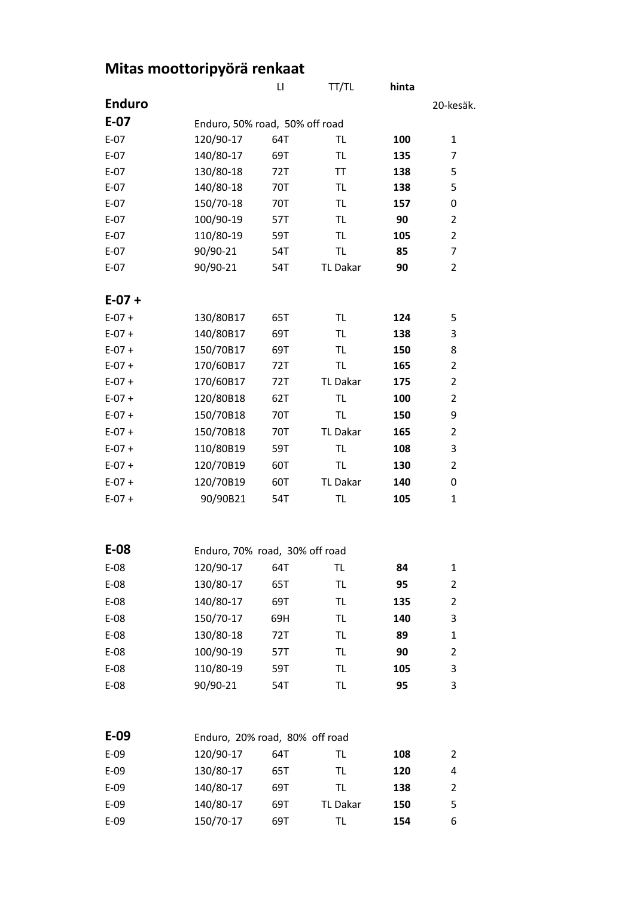|  |  | Mitas moottoripyörä renkaat |
|--|--|-----------------------------|
|  |  |                             |

|               |                                | $\mathsf{L}\mathsf{I}$ | TT/TL           | hinta |                |  |  |  |
|---------------|--------------------------------|------------------------|-----------------|-------|----------------|--|--|--|
| <b>Enduro</b> |                                |                        |                 |       | 20-kesäk.      |  |  |  |
| $E-07$        | Enduro, 50% road, 50% off road |                        |                 |       |                |  |  |  |
| $E-07$        | 120/90-17                      | 64T                    | TL              | 100   | 1              |  |  |  |
| $E-07$        | 140/80-17                      | 69T                    | TL              | 135   | 7              |  |  |  |
| $E-07$        | 130/80-18                      | 72T                    | ΤT              | 138   | 5              |  |  |  |
| $E-07$        | 140/80-18                      | 70T                    | <b>TL</b>       | 138   | 5              |  |  |  |
| $E-07$        | 150/70-18                      | 70T                    | <b>TL</b>       | 157   | 0              |  |  |  |
| $E-07$        | 100/90-19                      | 57T                    | <b>TL</b>       | 90    | $\overline{2}$ |  |  |  |
| $E-07$        | 110/80-19                      | 59T                    | TL              | 105   | $\overline{2}$ |  |  |  |
| $E-07$        | 90/90-21                       | 54T                    | TL              | 85    | 7              |  |  |  |
| $E-07$        | 90/90-21                       | 54T                    | TL Dakar        | 90    | $\overline{2}$ |  |  |  |
| $E-07 +$      |                                |                        |                 |       |                |  |  |  |
| $E-07 +$      | 130/80B17                      | 65T                    | TL              | 124   | 5              |  |  |  |
| $E-07 +$      | 140/80B17                      | 69T                    | TL              | 138   | 3              |  |  |  |
| $E-07 +$      | 150/70B17                      | 69T                    | TL              | 150   | 8              |  |  |  |
| $E-07 +$      | 170/60B17                      | 72T                    | TL              | 165   | $\overline{2}$ |  |  |  |
| $E-07 +$      | 170/60B17                      | 72T                    | <b>TL Dakar</b> | 175   | $\overline{2}$ |  |  |  |
| $E-07 +$      | 120/80B18                      | 62T                    | <b>TL</b>       | 100   | $\overline{2}$ |  |  |  |
| $E-07 +$      | 150/70B18                      | 70T                    | TL              | 150   | 9              |  |  |  |
| $E-07 +$      | 150/70B18                      | 70T                    | TL Dakar        | 165   | $\overline{2}$ |  |  |  |
| $E-07 +$      | 110/80B19                      | 59T                    | TL              | 108   | 3              |  |  |  |
| $E-07 +$      | 120/70B19                      | 60T                    | <b>TL</b>       | 130   | $\overline{2}$ |  |  |  |
| $E-07 +$      | 120/70B19                      | 60T                    | TL Dakar        | 140   | 0              |  |  |  |
| $E-07 +$      | 90/90B21                       | 54T                    | <b>TL</b>       | 105   | $\mathbf{1}$   |  |  |  |
|               |                                |                        |                 |       |                |  |  |  |
| $E-08$        | Enduro, 70% road, 30% off road |                        |                 |       |                |  |  |  |
| E-08          | 120/90-17                      | 64T                    | TL              | 84    | $\mathbf{1}$   |  |  |  |
| $E-08$        | 130/80-17                      | 65T                    | <b>TL</b>       | 95    | 2              |  |  |  |
| E-08          | 140/80-17                      | 69T                    | TL              | 135   | 2              |  |  |  |
| $E-08$        | 150/70-17                      | 69H                    | <b>TL</b>       | 140   | 3              |  |  |  |
| $E-08$        | 130/80-18                      | 72T                    | <b>TL</b>       | 89    | 1              |  |  |  |
| E-08          | 100/90-19                      | 57T                    | <b>TL</b>       | 90    | 2              |  |  |  |
| $E-08$        | 110/80-19                      | 59T                    | TL              | 105   | 3              |  |  |  |
| $E-08$        | 90/90-21                       | 54T                    | TL              | 95    | 3              |  |  |  |
|               |                                |                        |                 |       |                |  |  |  |
| $E-09$        | Enduro, 20% road, 80% off road |                        |                 |       |                |  |  |  |

| $E-09$ | 120/90-17 | 64T | TL       | 108 | 2 |
|--------|-----------|-----|----------|-----|---|
| $E-09$ | 130/80-17 | 65T | TL       | 120 | 4 |
| $E-09$ | 140/80-17 | 69T | TL       | 138 | 2 |
| $E-09$ | 140/80-17 | 69T | TL Dakar | 150 | 5 |
| $E-09$ | 150/70-17 | 69T | TL       | 154 | 6 |
|        |           |     |          |     |   |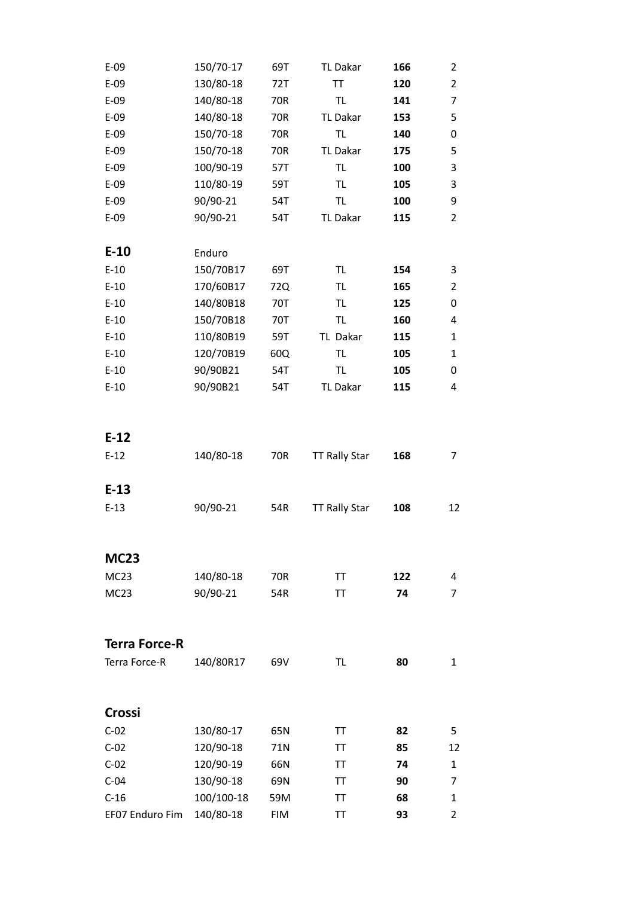| $E-09$               | 150/70-17  | 69T        | TL Dakar             | 166 | 2              |
|----------------------|------------|------------|----------------------|-----|----------------|
| $E-09$               | 130/80-18  | 72T        | ΤT                   | 120 | $\overline{2}$ |
| $E-09$               | 140/80-18  | 70R        | TL.                  | 141 | 7              |
| $E-09$               | 140/80-18  | 70R        | TL Dakar             | 153 | 5              |
| $E-09$               | 150/70-18  | 70R        | <b>TL</b>            | 140 | 0              |
| $E-09$               | 150/70-18  | 70R        | TL Dakar             | 175 | 5              |
| $E-09$               | 100/90-19  | 57T        | TL                   | 100 | 3              |
| $E-09$               | 110/80-19  | 59T        | TL                   | 105 | 3              |
| $E-09$               | 90/90-21   | 54T        | TL.                  | 100 | 9              |
| $E-09$               | 90/90-21   | 54T        | TL Dakar             | 115 | $\overline{2}$ |
|                      |            |            |                      |     |                |
| $E-10$               | Enduro     |            |                      |     |                |
| $E-10$               | 150/70B17  | 69T        | TL.                  | 154 | 3              |
| $E-10$               | 170/60B17  | 72Q        | TL.                  | 165 | $\overline{2}$ |
| $E-10$               | 140/80B18  | 70T        | TL.                  | 125 | 0              |
| $E-10$               | 150/70B18  | 70T        | TL.                  | 160 | 4              |
| $E-10$               | 110/80B19  | 59T        | TL Dakar             | 115 | 1              |
| $E-10$               | 120/70B19  | 60Q        | <b>TL</b>            | 105 | $\mathbf{1}$   |
| $E-10$               | 90/90B21   | 54T        | TL.                  | 105 | 0              |
| $E-10$               | 90/90B21   | 54T        | TL Dakar             | 115 | 4              |
|                      |            |            |                      |     |                |
|                      |            |            |                      |     |                |
| $E-12$               |            |            |                      |     |                |
| $E-12$               | 140/80-18  | 70R        | <b>TT Rally Star</b> | 168 | 7              |
|                      |            |            |                      |     |                |
| $E-13$               |            |            |                      |     |                |
| $E-13$               | 90/90-21   | 54R        | <b>TT Rally Star</b> | 108 | 12             |
|                      |            |            |                      |     |                |
|                      |            |            |                      |     |                |
| <b>MC23</b>          |            |            |                      |     |                |
| <b>MC23</b>          | 140/80-18  | 70R        | TΤ                   | 122 | 4              |
| MC <sub>23</sub>     | 90/90-21   | 54R        | TΤ                   | 74  | 7              |
|                      |            |            |                      |     |                |
|                      |            |            |                      |     |                |
| <b>Terra Force-R</b> |            |            |                      |     |                |
| Terra Force-R        | 140/80R17  | 69V        | TL.                  | 80  | 1              |
|                      |            |            |                      |     |                |
|                      |            |            |                      |     |                |
| Crossi               |            |            |                      |     |                |
| $C-02$               | 130/80-17  | 65N        | TT                   | 82  | 5              |
| $C-02$               | 120/90-18  | 71N        | TT                   | 85  | 12             |
| $C-02$               | 120/90-19  | 66N        | TT.                  | 74  | 1              |
| $C-04$               | 130/90-18  | 69N        | TΤ                   | 90  | 7              |
| $C-16$               | 100/100-18 | 59M        | TT                   | 68  | 1              |
| EF07 Enduro Fim      | 140/80-18  | <b>FIM</b> | ΤT                   | 93  | 2              |